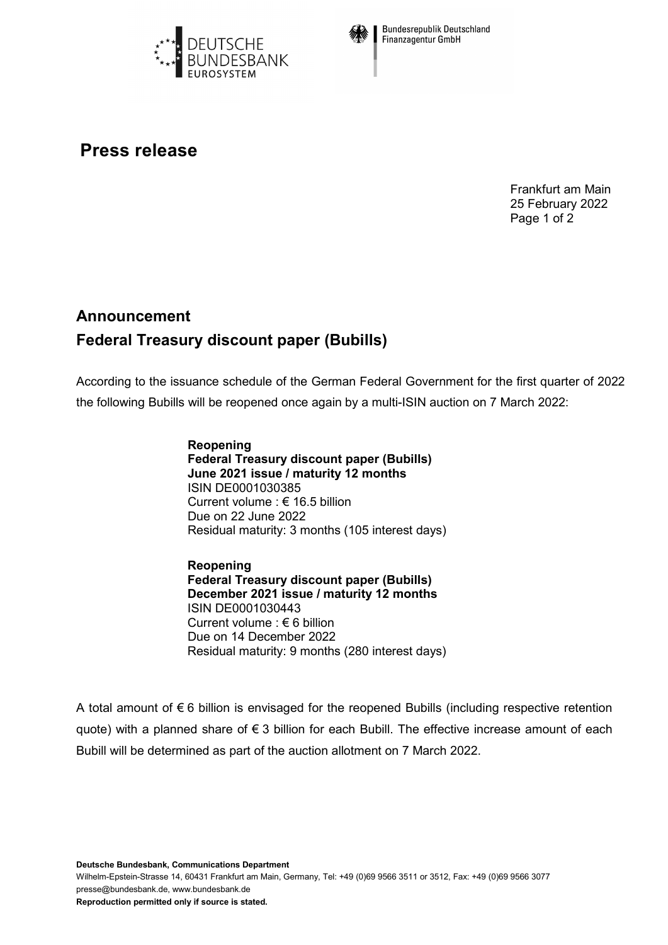



**Bundesrepublik Deutschland Finanzagentur GmbH** 

## **Press release**

Frankfurt am Main 25 February 2022 Page 1 of 2

## **Announcement Federal Treasury discount paper (Bubills)**

According to the issuance schedule of the German Federal Government for the first quarter of 2022 the following Bubills will be reopened once again by a multi-ISIN auction on 7 March 2022:

> **Reopening Federal Treasury discount paper (Bubills) June 2021 issue / maturity 12 months** ISIN DE0001030385 Current volume : € 16.5 billion Due on 22 June 2022 Residual maturity: 3 months (105 interest days)

> **Reopening Federal Treasury discount paper (Bubills) December 2021 issue / maturity 12 months** ISIN DE0001030443 Current volume : € 6 billion Due on 14 December 2022 Residual maturity: 9 months (280 interest days)

A total amount of € 6 billion is envisaged for the reopened Bubills (including respective retention quote) with a planned share of € 3 billion for each Bubill. The effective increase amount of each Bubill will be determined as part of the auction allotment on 7 March 2022.